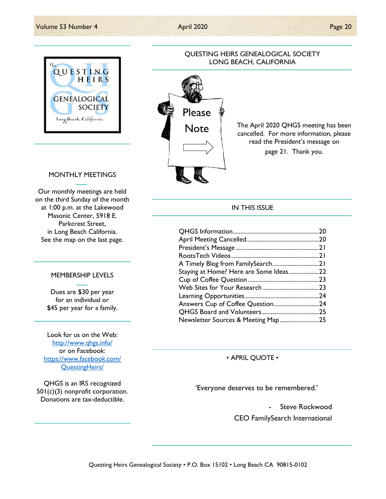

### QUESTING HEIRS GENEALOGICAL SOCIETY LONG BEACH, CALIFORNIA



The April 2020 QHGS meeting has been cancelled. For more information, please read the President's message on page 21. Thank you.

### MONTHLY MEETINGS

Our monthly meetings are held on the third Sunday of the month at 1:00 p.m. at the Lakewood Masonic Center, 5918 E. Parkcrest Street, in Long Beach California. See the map on the last page.

#### MEMBERSHIP LEVELS

Dues are \$30 per year for an individual or \$45 per year for a family.

Look for us on the Web: http://www.qhgs.info/ or on Facebook: https://www.facebook.com/ QuestingHeirs/

QHGS is an IRS recognized 501(c)(3) nonprofit corporation. Donations are tax-deductible.

### IN THIS ISSUE

|                                        | .20 |
|----------------------------------------|-----|
|                                        |     |
|                                        |     |
|                                        | .21 |
|                                        |     |
| Staying at Home? Here are Some Ideas22 |     |
|                                        |     |
|                                        |     |
|                                        |     |
|                                        |     |
|                                        |     |
| Newsletter Sources & Meeting Map25     |     |

• APRIL QUOTE •

'Everyone deserves to be remembered.'

- Steve Rockwood CEO FamilySearch International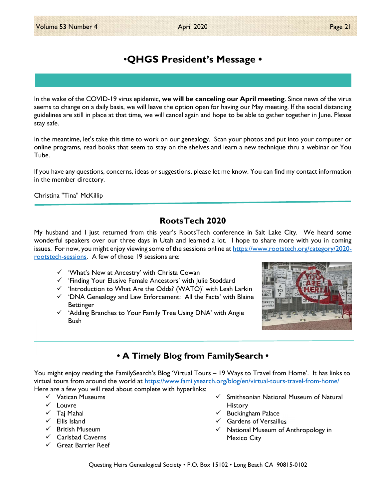# •QHGS President's Message •

In the wake of the COVID-19 virus epidemic, we will be canceling our April meeting. Since news of the virus seems to change on a daily basis, we will leave the option open for having our May meeting. If the social distancing guidelines are still in place at that time, we will cancel again and hope to be able to gather together in June. Please stay safe.

In the meantime, let's take this time to work on our genealogy. Scan your photos and put into your computer or online programs, read books that seem to stay on the shelves and learn a new technique thru a webinar or You Tube.

If you have any questions, concerns, ideas or suggestions, please let me know. You can find my contact information in the member directory.

Christina "Tina" McKillip

# RootsTech 2020

My husband and I just returned from this year's RootsTech conference in Salt Lake City. We heard some wonderful speakers over our three days in Utah and learned a lot. I hope to share more with you in coming issues. For now, you might enjoy viewing some of the sessions online at https://www.rootstech.org/category/2020rootstech-sessions. A few of those 19 sessions are:

- $\checkmark$  'What's New at Ancestry' with Christa Cowan
- $\checkmark$  'Finding Your Elusive Female Ancestors' with Julie Stoddard
- $\checkmark$  'Introduction to What Are the Odds? (WATO)' with Leah Larkin
- $\checkmark$  'DNA Genealogy and Law Enforcement: All the Facts' with Blaine **Bettinger**
- $\checkmark$  'Adding Branches to Your Family Tree Using DNA' with Angie Bush



# • A Timely Blog from FamilySearch •

You might enjoy reading the FamilySearch's Blog 'Virtual Tours – 19 Ways to Travel from Home'. It has links to virtual tours from around the world at https://www.familysearch.org/blog/en/virtual-tours-travel-from-home/ Here are a few you will read about complete with hyperlinks:

- $\checkmark$  Vatican Museums
- $\checkmark$  Louvre
- $\checkmark$  Taj Mahal
- $\checkmark$  Filis Island
- $\checkmark$  British Museum
- $\checkmark$  Carlsbad Caverns
- $\checkmark$  Great Barrier Reef
- $\checkmark$  Smithsonian National Museum of Natural **History**
- $\checkmark$  Buckingham Palace
- Gardens of Versailles
- $\checkmark$  National Museum of Anthropology in Mexico City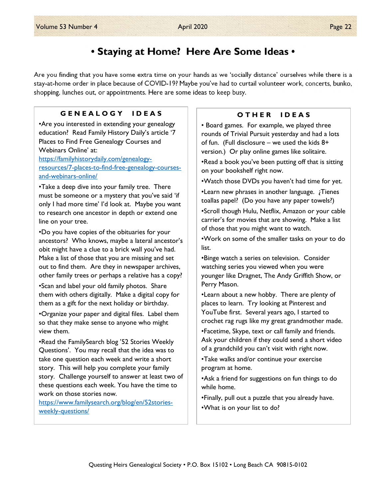# • Staying at Home? Here Are Some Ideas •

Are you finding that you have some extra time on your hands as we 'socially distance' ourselves while there is a stay-at-home order in place because of COVID-19? Maybe you've had to curtail volunteer work, concerts, bunko, shopping, lunches out, or appointments. Here are some ideas to keep busy.

### G E N E A L O G Y I D E A S

•Are you interested in extending your genealogy education? Read Family History Daily's article '7 Places to Find Free Genealogy Courses and Webinars Online' at: https://familyhistorydaily.com/genealogy-

resources/7-places-to-find-free-genealogy-coursesand-webinars-online/

•Take a deep dive into your family tree. There must be someone or a mystery that you've said 'if only I had more time' I'd look at. Maybe you want to research one ancestor in depth or extend one line on your tree.

•Do you have copies of the obituaries for your ancestors? Who knows, maybe a lateral ancestor's obit might have a clue to a brick wall you've had. Make a list of those that you are missing and set out to find them. Are they in newspaper archives, other family trees or perhaps a relative has a copy?

•Scan and label your old family photos. Share them with others digitally. Make a digital copy for them as a gift for the next holiday or birthday.

•Organize your paper and digital files. Label them so that they make sense to anyone who might view them.

•Read the FamilySearch blog '52 Stories Weekly Questions'. You may recall that the idea was to take one question each week and write a short story. This will help you complete your family story. Challenge yourself to answer at least two of these questions each week. You have the time to work on those stories now.

https://www.familysearch.org/blog/en/52storiesweekly-questions/

### O THER IDEAS

• Board games. For example, we played three rounds of Trivial Pursuit yesterday and had a lots of fun. (Full disclosure – we used the kids 8+ version.) Or play online games like solitaire.

•Read a book you've been putting off that is sitting on your bookshelf right now.

•Watch those DVDs you haven't had time for yet.

•Learn new phrases in another language. ¿Tienes toallas papel? (Do you have any paper towels?)

•Scroll though Hulu, Netflix, Amazon or your cable carrier's for movies that are showing. Make a list of those that you might want to watch.

•Work on some of the smaller tasks on your to do list.

•Binge watch a series on television. Consider watching series you viewed when you were younger like Dragnet, The Andy Griffith Show, or Perry Mason.

•Learn about a new hobby. There are plenty of places to learn. Try looking at Pinterest and YouTube first. Several years ago, I started to crochet rag rugs like my great grandmother made.

•Facetime, Skype, text or call family and friends. Ask your children if they could send a short video of a grandchild you can't visit with right now.

•Take walks and/or continue your exercise program at home.

•Ask a friend for suggestions on fun things to do while home.

•Finally, pull out a puzzle that you already have. •What is on your list to do?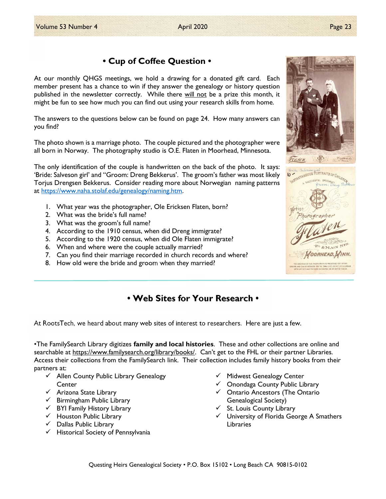# • Cup of Coffee Question •

At our monthly QHGS meetings, we hold a drawing for a donated gift card. Each member present has a chance to win if they answer the genealogy or history question published in the newsletter correctly. While there will not be a prize this month, it might be fun to see how much you can find out using your research skills from home.

The answers to the questions below can be found on page 24. How many answers can you find?

The photo shown is a marriage photo. The couple pictured and the photographer were all born in Norway. The photography studio is O.E. Flaten in Moorhead, Minnesota.

The only identification of the couple is handwritten on the back of the photo. It says: 'Bride: Salveson girl' and "Groom: Dreng Bekkerus'. The groom's father was most likely Torjus Drengsen Bekkerus. Consider reading more about Norwegian naming patterns at https://www.naha.stolaf.edu/genealogy/naming.htm.

- 1. What year was the photographer, Ole Ericksen Flaten, born?
- 2. What was the bride's full name?
- 3. What was the groom's full name?
- 4. According to the 1910 census, when did Dreng immigrate?
- 5. According to the 1920 census, when did Ole Flaten immigrate?
- 6. When and where were the couple actually married?
- 7. Can you find their marriage recorded in church records and where?
- 8. How old were the bride and groom when they married?

# • Web Sites for Your Research •

At RootsTech, we heard about many web sites of interest to researchers. Here are just a few.

•The FamilySearch Library digitizes **family and local histories**. These and other collections are online and searchable at https://www.familysearch.org/library/books/. Can't get to the FHL or their partner Libraries. Access their collections from the FamilySearch link. Their collection includes family history books from their partners at:

- $\checkmark$  Allen County Public Library Genealogy **Center**
- $\checkmark$  Arizona State Library
- $\checkmark$  Birmingham Public Library
- $\checkmark$  BYI Family History Library
- $\checkmark$  Houston Public Library
- $\checkmark$  Dallas Public Library
- $\checkmark$  Historical Society of Pennsylvania
- $\checkmark$  Midwest Genealogy Center
- $\checkmark$  Onondaga County Public Library
- $\checkmark$  Ontario Ancestors (The Ontario Genealogical Society)
- $\checkmark$  St. Louis County Library
- $\checkmark$  University of Florida George A Smathers Libraries

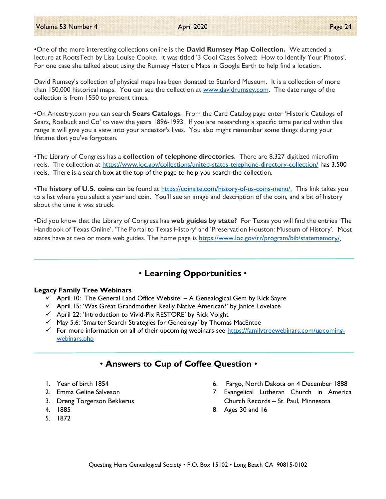David Rumsey's collection of physical maps has been donated to Stanford Museum. It is a collection of more than 150,000 historical maps. You can see the collection at www.davidrumsey.com. The date range of the collection is from 1550 to present times.

For one case she talked about using the Rumsey Historic Maps in Google Earth to help find a location.

•On Ancestry.com you can search Sears Catalogs. From the Card Catalog page enter 'Historic Catalogs of Sears, Roebuck and Co' to view the years 1896-1993. If you are researching a specific time period within this range it will give you a view into your ancestor's lives. You also might remember some things during your lifetime that you've forgotten.

•The Library of Congress has a collection of telephone directories. There are 8,327 digitized microfilm reels. The collection at https://www.loc.gov/collections/united-states-telephone-directory-collection/ has 3,500 reels. There is a search box at the top of the page to help you search the collection.

•The history of U.S. coins can be found at https://coinsite.com/history-of-us-coins-menu/. This link takes you to a list where you select a year and coin. You'll see an image and description of the coin, and a bit of history about the time it was struck.

•Did you know that the Library of Congress has web guides by state? For Texas you will find the entries 'The Handbook of Texas Online', 'The Portal to Texas History' and 'Preservation Houston: Museum of History'. Most states have at two or more web guides. The home page is https://www.loc.gov/rr/program/bib/statememory/.

# • Learning Opportunities •

#### Legacy Family Tree Webinars

- $\checkmark$  April 10: The General Land Office Website' A Genealogical Gem by Rick Sayre
- $\checkmark$  April 15: 'Was Great Grandmother Really Native American?' by Janice Lovelace
- $\checkmark$  April 22: 'Introduction to Vivid-Pix RESTORE' by Rick Voight
- $\checkmark$  May 5,6: 'Smarter Search Strategies for Genealogy' by Thomas MacEntee
- For more information on all of their upcoming webinars see https://familytreewebinars.com/upcomingwebinars.php

## • Answers to Cup of Coffee Question •

- 1. Year of birth 1854
- 2. Emma Geline Salveson
- 3. Dreng Torgerson Bekkerus
- 4. 1885
- 5. 1872
- 6. Fargo, North Dakota on 4 December 1888
- 7. Evangelical Lutheran Church in America Church Records – St. Paul, Minnesota
- 8. Ages 30 and 16